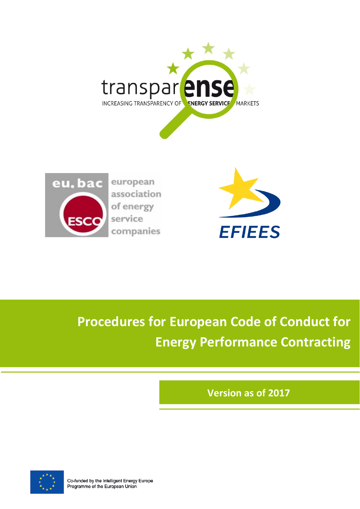



european association of energy service companies



**Procedures for European Code of Conduct for Energy Performance Contracting**

**Version as of 2017**



Co-funded by the Intelligent Energy Europe Programme of the European Union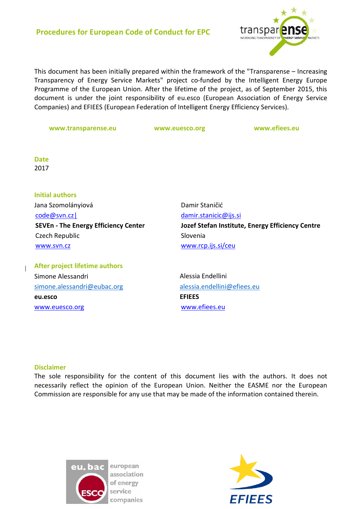

This document has been initially prepared within the framework of the "Transparense – Increasing Transparency of Energy Service Markets" project co-funded by the Intelligent Energy Europe Programme of the European Union. After the lifetime of the project, as of September 2015, this document is under the joint responsibility of eu.esco (European Association of Energy Service Companies) and EFIEES (European Federation of Intelligent Energy Efficiency Services).

**[www.transparense.eu](http://www.transparense.eu/uk/uk-home/uk-welcome-to-transparense-project) www.euesco.org www.efiees.eu**

**Date** 2017

**Initial authors** Jana Szomolányiová [code@svn.cz|](mailto:code@svn.cz%7C) **SEVEn - The Energy Efficiency Center** Czech Republic [www.svn.cz](http://www.svn.cz/)

Damir Staničić [damir.stanicic@ijs.si](mailto:damir.stanicic@ijs.si) **Jozef Stefan Institute, Energy Efficiency Centre** Slovenia [www.rcp.ijs.si/ceu](http://www.rcp.ijs.si/ceu)

**After project lifetime authors**  Simone Alessandri [simone.alessandri@eubac.org](mailto:simone.alessandri@eubac.org) **eu.esco** [www.euesco.org](http://www.euesco.org/)

Alessia Endellini alessia.endellini@efiees.eu **EFIEES** [www.efiees.eu](http://www.efiees.eu/)

#### **Disclaimer**

The sole responsibility for the content of this document lies with the authors. It does not necessarily reflect the opinion of the European Union. Neither the EASME nor the European Commission are responsible for any use that may be made of the information contained therein.



european association of energy service companies

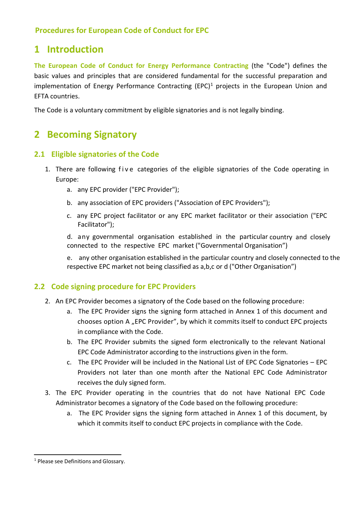# **1 Introduction**

**The European Code of Conduct for Energy Performance Contracting** (the "Code") defines the basic values and principles that are considered fundamental for the successful preparation and implementation of Energy Performance Contracting (EPC)<sup>1</sup> projects in the European Union and EFTA countries.

The Code is a voluntary commitment by eligible signatories and is not legally binding.

# **2 Becoming Signatory**

# **2.1 Eligible signatories of the Code**

- 1. There are following five categories of the eligible signatories of the Code operating in Europe:
	- a. any EPC provider ("EPC Provider");
	- b. any association of EPC providers ("Association of EPC Providers");
	- c. any EPC project facilitator or any EPC market facilitator or their association ("EPC Facilitator");
	- d. any governmental organisation established in the particular country and closely connected to the respective EPC market ("Governmental Organisation")
	- e. any other organisation established in the particular country and closely connected to the respective EPC market not being classified as a,b,c or d ("Other Organisation")

# **2.2 Code signing procedure for EPC Providers**

- 2. An EPC Provider becomes a signatory of the Code based on the following procedure:
	- a. The EPC Provider signs the signing form attached in Annex 1 of this document and chooses option A "EPC Provider", by which it commits itself to conduct EPC projects in compliance with the Code.
	- b. The EPC Provider submits the signed form electronically to the relevant National EPC Code Administrator according to the instructions given in the form.
	- c. The EPC Provider will be included in the National List of EPC Code Signatories EPC Providers not later than one month after the National EPC Code Administrator receives the duly signed form.
- 3. The EPC Provider operating in the countries that do not have National EPC Code Administrator becomes a signatory of the Code based on the following procedure:
	- a. The EPC Provider signs the signing form attached in Annex 1 of this document, by which it commits itself to conduct EPC projects in compliance with the Code.

<sup>1</sup> Please see Definitions and Glossary.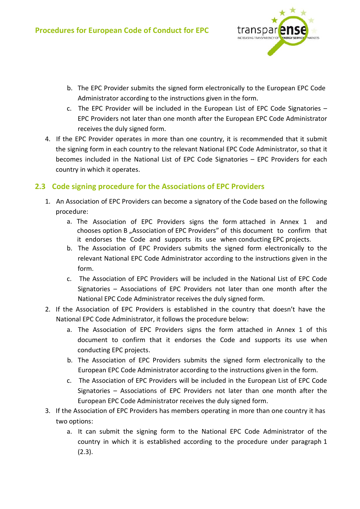

- b. The EPC Provider submits the signed form electronically to the European EPC Code Administrator according to the instructions given in the form.
- c. The EPC Provider will be included in the European List of EPC Code Signatories EPC Providers not later than one month after the European EPC Code Administrator receives the duly signed form.
- 4. If the EPC Provider operates in more than one country, it is recommended that it submit the signing form in each country to the relevant National EPC Code Administrator, so that it becomes included in the National List of EPC Code Signatories – EPC Providers for each country in which it operates.

# **2.3 Code signing procedure for the Associations of EPC Providers**

- 1. An Association of EPC Providers can become a signatory of the Code based on the following procedure:
	- a. The Association of EPC Providers signs the form attached in Annex 1 and chooses option B "Association of EPC Providers" of this document to confirm that it endorses the Code and supports its use when conducting EPC projects.
	- b. The Association of EPC Providers submits the signed form electronically to the relevant National EPC Code Administrator according to the instructions given in the form.
	- c. The Association of EPC Providers will be included in the National List of EPC Code Signatories – Associations of EPC Providers not later than one month after the National EPC Code Administrator receives the duly signed form.
- 2. If the Association of EPC Providers is established in the country that doesn't have the National EPC Code Administrator, it follows the procedure below:
	- a. The Association of EPC Providers signs the form attached in Annex 1 of this document to confirm that it endorses the Code and supports its use when conducting EPC projects.
	- b. The Association of EPC Providers submits the signed form electronically to the European EPC Code Administrator according to the instructions given in the form.
	- c. The Association of EPC Providers will be included in the European List of EPC Code Signatories – Associations of EPC Providers not later than one month after the European EPC Code Administrator receives the duly signed form.
- 3. If the Association of EPC Providers has members operating in more than one country it has two options:
	- a. It can submit the signing form to the National EPC Code Administrator of the country in which it is established according to the procedure under paragraph 1 (2.3).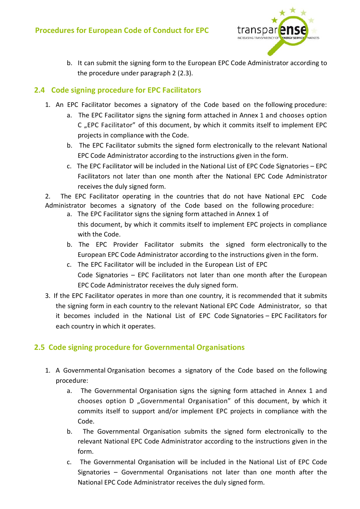

b. It can submit the signing form to the European EPC Code Administrator according to the procedure under paragraph 2 (2.3).

# **2.4 Code signing procedure for EPC Facilitators**

- 1. An EPC Facilitator becomes a signatory of the Code based on the following procedure:
	- a. The EPC Facilitator signs the signing form attached in Annex 1 and chooses option C "EPC Facilitator" of this document, by which it commits itself to implement EPC projects in compliance with the Code.
	- b. The EPC Facilitator submits the signed form electronically to the relevant National EPC Code Administrator according to the instructions given in the form.
	- c. The EPC Facilitator will be included in the National List of EPC Code Signatories EPC Facilitators not later than one month after the National EPC Code Administrator receives the duly signed form.

2. The EPC Facilitator operating in the countries that do not have National EPC Code Administrator becomes a signatory of the Code based on the following procedure:

- a. The EPC Facilitator signs the signing form attached in Annex 1 of this document, by which it commits itself to implement EPC projects in compliance with the Code.
- b. The EPC Provider Facilitator submits the signed form electronically to the European EPC Code Administrator according to the instructions given in the form.
- c. The EPC Facilitator will be included in the European List of EPC Code Signatories – EPC Facilitators not later than one month after the European EPC Code Administrator receives the duly signed form.
- 3. If the EPC Facilitator operates in more than one country, it is recommended that it submits the signing form in each country to the relevant National EPC Code Administrator, so that it becomes included in the National List of EPC Code Signatories – EPC Facilitators for each country in which it operates.

# **2.5 Code signing procedure for Governmental Organisations**

- 1. A Governmental Organisation becomes a signatory of the Code based on the following procedure:
	- a. The Governmental Organisation signs the signing form attached in Annex 1 and chooses option D "Governmental Organisation" of this document, by which it commits itself to support and/or implement EPC projects in compliance with the Code.
	- b. The Governmental Organisation submits the signed form electronically to the relevant National EPC Code Administrator according to the instructions given in the form.
	- c. The Governmental Organisation will be included in the National List of EPC Code Signatories – Governmental Organisations not later than one month after the National EPC Code Administrator receives the duly signed form.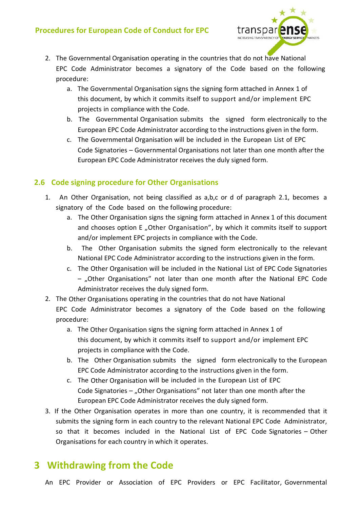

- 2. The Governmental Organisation operating in the countries that do not have National EPC Code Administrator becomes a signatory of the Code based on the following procedure:
	- a. The Governmental Organisation signs the signing form attached in Annex 1 of this document, by which it commits itself to support and/or implement EPC projects in compliance with the Code.
	- b. The Governmental Organisation submits the signed form electronically to the European EPC Code Administrator according to the instructions given in the form.
	- c. The Governmental Organisation will be included in the European List of EPC Code Signatories – Governmental Organisations not later than one month after the European EPC Code Administrator receives the duly signed form.

### **2.6 Code signing procedure for Other Organisations**

- 1. An Other Organisation, not being classified as a,b,c or d of paragraph 2.1, becomes a signatory of the Code based on the following procedure:
	- a. The Other Organisation signs the signing form attached in Annex 1 of this document and chooses option E "Other Organisation", by which it commits itself to support and/or implement EPC projects in compliance with the Code.
	- b. The Other Organisation submits the signed form electronically to the relevant National EPC Code Administrator according to the instructions given in the form.
	- c. The Other Organisation will be included in the National List of EPC Code Signatories – "Other Organisations" not later than one month after the National EPC Code Administrator receives the duly signed form.
- 2. The Other Organisations operating in the countries that do not have National EPC Code Administrator becomes a signatory of the Code based on the following procedure:
	- a. The Other Organisation signs the signing form attached in Annex 1 of this document, by which it commits itself to support and/or implement EPC projects in compliance with the Code.
	- b. The Other Organisation submits the signed form electronically to the European EPC Code Administrator according to the instructions given in the form.
	- c. The Other Organisation will be included in the European List of EPC Code Signatories  $-$  "Other Organisations" not later than one month after the European EPC Code Administrator receives the duly signed form.
- 3. If the Other Organisation operates in more than one country, it is recommended that it submits the signing form in each country to the relevant National EPC Code Administrator, so that it becomes included in the National List of EPC Code Signatories – Other Organisations for each country in which it operates.

# **3 Withdrawing from the Code**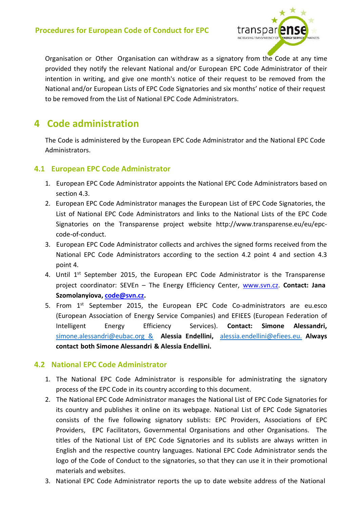

Organisation or Other Organisation can withdraw as a signatory from the Code at any time provided they notify the relevant National and/or European EPC Code Administrator of their intention in writing, and give one month's notice of their request to be removed from the National and/or European Lists of EPC Code Signatories and six months' notice of their request to be removed from the List of National EPC Code Administrators.

# **4 Code administration**

The Code is administered by the European EPC Code Administrator and the National EPC Code Administrators.

# **4.1 European EPC Code Administrator**

- 1. European EPC Code Administrator appoints the National EPC Code Administrators based on section 4.3.
- 2. European EPC Code Administrator manages the European List of EPC Code Signatories, the List of National EPC Code Administrators and links to the National Lists of the EPC Code Signatories on the Transparense project website [http://www.transparense.eu/eu/epc](http://www.transparense.eu/eu/epc-code-of-conduct)[code-of-conduct.](http://www.transparense.eu/eu/epc-code-of-conduct)
- 3. European EPC Code Administrator collects and archives the signed forms received from the National EPC Code Administrators according to the section 4.2 point 4 and section 4.3 point 4.
- 4. Until 1<sup>st</sup> September 2015, the European EPC Code Administrator is the Transparense project coordinator: SEVEn – The Energy Efficiency Center, [www.svn.cz.](http://www.svn.cz/) **Contact: Jana Szomolanyiova, [code@svn.cz.](mailto:code@svn.cz)**
- 5. From 1<sup>st</sup> September 2015, the European EPC Code Co-administrators are eu.esco (European Association of Energy Service Companies) and EFIEES (European Federation of Intelligent Energy Efficiency Services). **Contact: Simone Alessandri,** [simone.alessandri@eubac.org &](mailto:simone.alessandri@eubac.org%20%20%20&) **Alessia Endellini,** [alessia.endellini@efiees.eu.](mailto:alessia.endellini@efiees.eu.) **Always contact both Simone Alessandri & Alessia Endellini.**

# **4.2 National EPC Code Administrator**

- 1. The National EPC Code Administrator is responsible for administrating the signatory process of the EPC Code in its country according to this document.
- 2. The National EPC Code Administrator manages the National List of EPC Code Signatories for its country and publishes it online on its webpage. National List of EPC Code Signatories consists of the five following signatory sublists: EPC Providers, Associations of EPC Providers, EPC Facilitators, Governmental Organisations and other Organisations. The titles of the National List of EPC Code Signatories and its sublists are always written in English and the respective country languages. National EPC Code Administrator sends the logo of the Code of Conduct to the signatories, so that they can use it in their promotional materials and websites.
- 3. National EPC Code Administrator reports the up to date website address of the National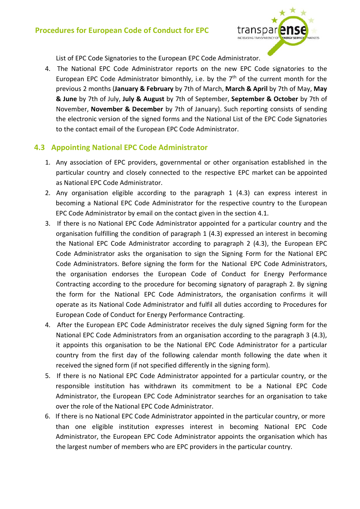

List of EPC Code Signatories to the European EPC Code Administrator.

4. The National EPC Code Administrator reports on the new EPC Code signatories to the European EPC Code Administrator bimonthly, i.e. by the  $7<sup>th</sup>$  of the current month for the previous 2 months (**January & February** by 7th of March, **March & April** by 7th of May, **May & June** by 7th of July, **July & August** by 7th of September, **September & October** by 7th of November, **November & December** by 7th of January). Such reporting consists of sending the electronic version of the signed forms and the National List of the EPC Code Signatories to the contact email of the European EPC Code Administrator.

# **4.3 Appointing National EPC Code Administrator**

- 1. Any association of EPC providers, governmental or other organisation established in the particular country and closely connected to the respective EPC market can be appointed as National EPC Code Administrator.
- 2. Any organisation eligible according to the paragraph 1 (4.3) can express interest in becoming a National EPC Code Administrator for the respective country to the European EPC Code Administrator by email on the contact given in the section 4.1.
- 3. If there is no National EPC Code Administrator appointed for a particular country and the organisation fulfilling the condition of paragraph 1 (4.3) expressed an interest in becoming the National EPC Code Administrator according to paragraph 2 (4.3), the European EPC Code Administrator asks the organisation to sign the Signing Form for the National EPC Code Administrators. Before signing the form for the National EPC Code Administrators, the organisation endorses the European Code of Conduct for Energy Performance Contracting according to the procedure for becoming signatory of paragraph 2. By signing the form for the National EPC Code Administrators, the organisation confirms it will operate as its National Code Administrator and fulfil all duties according to Procedures for European Code of Conduct for Energy Performance Contracting.
- 4. After the European EPC Code Administrator receives the duly signed Signing form for the National EPC Code Administrators from an organisation according to the paragraph 3 (4.3), it appoints this organisation to be the National EPC Code Administrator for a particular country from the first day of the following calendar month following the date when it received the signed form (if not specified differently in the signing form).
- 5. If there is no National EPC Code Administrator appointed for a particular country, or the responsible institution has withdrawn its commitment to be a National EPC Code Administrator, the European EPC Code Administrator searches for an organisation to take over the role of the National EPC Code Administrator.
- 6. If there is no National EPC Code Administrator appointed in the particular country, or more than one eligible institution expresses interest in becoming National EPC Code Administrator, the European EPC Code Administrator appoints the organisation which has the largest number of members who are EPC providers in the particular country.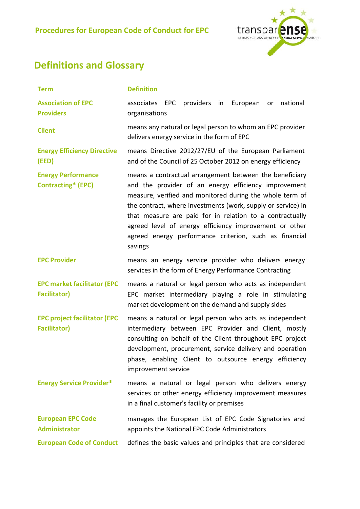

# **Definitions and Glossary**

| <b>Term</b>                                                | <b>Definition</b>                                                                                                                                                                                                                                                                                                                                                                                                                      |
|------------------------------------------------------------|----------------------------------------------------------------------------------------------------------------------------------------------------------------------------------------------------------------------------------------------------------------------------------------------------------------------------------------------------------------------------------------------------------------------------------------|
| <b>Association of EPC</b><br><b>Providers</b>              | EPC providers in<br>national<br>associates<br>European<br>or<br>organisations                                                                                                                                                                                                                                                                                                                                                          |
| <b>Client</b>                                              | means any natural or legal person to whom an EPC provider<br>delivers energy service in the form of EPC                                                                                                                                                                                                                                                                                                                                |
| <b>Energy Efficiency Directive</b><br>(EED)                | means Directive 2012/27/EU of the European Parliament<br>and of the Council of 25 October 2012 on energy efficiency                                                                                                                                                                                                                                                                                                                    |
| <b>Energy Performance</b><br><b>Contracting* (EPC)</b>     | means a contractual arrangement between the beneficiary<br>and the provider of an energy efficiency improvement<br>measure, verified and monitored during the whole term of<br>the contract, where investments (work, supply or service) in<br>that measure are paid for in relation to a contractually<br>agreed level of energy efficiency improvement or other<br>agreed energy performance criterion, such as financial<br>savings |
| <b>EPC Provider</b>                                        | means an energy service provider who delivers energy<br>services in the form of Energy Performance Contracting                                                                                                                                                                                                                                                                                                                         |
| <b>EPC market facilitator (EPC</b><br><b>Facilitator)</b>  | means a natural or legal person who acts as independent<br>EPC market intermediary playing a role in stimulating<br>market development on the demand and supply sides                                                                                                                                                                                                                                                                  |
| <b>EPC project facilitator (EPC</b><br><b>Facilitator)</b> | means a natural or legal person who acts as independent<br>intermediary between EPC Provider and Client, mostly<br>consulting on behalf of the Client throughout EPC project<br>development, procurement, service delivery and operation<br>phase, enabling Client to outsource energy efficiency<br>improvement service                                                                                                               |
| <b>Energy Service Provider*</b>                            | means a natural or legal person who delivers energy<br>services or other energy efficiency improvement measures<br>in a final customer's facility or premises                                                                                                                                                                                                                                                                          |
| <b>European EPC Code</b><br><b>Administrator</b>           | manages the European List of EPC Code Signatories and<br>appoints the National EPC Code Administrators                                                                                                                                                                                                                                                                                                                                 |
| <b>European Code of Conduct</b>                            | defines the basic values and principles that are considered                                                                                                                                                                                                                                                                                                                                                                            |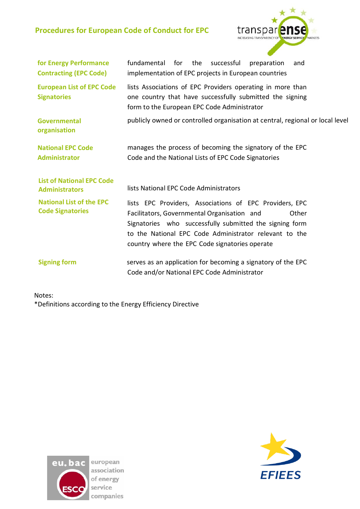

| for Energy Performance<br><b>Contracting (EPC Code)</b>    | fundamental for the<br>successful<br>preparation<br>and<br>implementation of EPC projects in European countries                                                                                                                                                                        |
|------------------------------------------------------------|----------------------------------------------------------------------------------------------------------------------------------------------------------------------------------------------------------------------------------------------------------------------------------------|
| <b>European List of EPC Code</b><br><b>Signatories</b>     | lists Associations of EPC Providers operating in more than<br>one country that have successfully submitted the signing<br>form to the European EPC Code Administrator                                                                                                                  |
| <b>Governmental</b><br>organisation                        | publicly owned or controlled organisation at central, regional or local level                                                                                                                                                                                                          |
| <b>National EPC Code</b><br><b>Administrator</b>           | manages the process of becoming the signatory of the EPC<br>Code and the National Lists of EPC Code Signatories                                                                                                                                                                        |
| <b>List of National EPC Code</b><br><b>Administrators</b>  | lists National EPC Code Administrators                                                                                                                                                                                                                                                 |
| <b>National List of the EPC</b><br><b>Code Signatories</b> | lists EPC Providers, Associations of EPC Providers, EPC<br>Facilitators, Governmental Organisation and<br>Other<br>Signatories who successfully submitted the signing form<br>to the National EPC Code Administrator relevant to the<br>country where the EPC Code signatories operate |
| <b>Signing form</b>                                        | serves as an application for becoming a signatory of the EPC<br>Code and/or National EPC Code Administrator                                                                                                                                                                            |

Notes: \*Definitions according to the Energy Efficiency Directive



association of energy companies